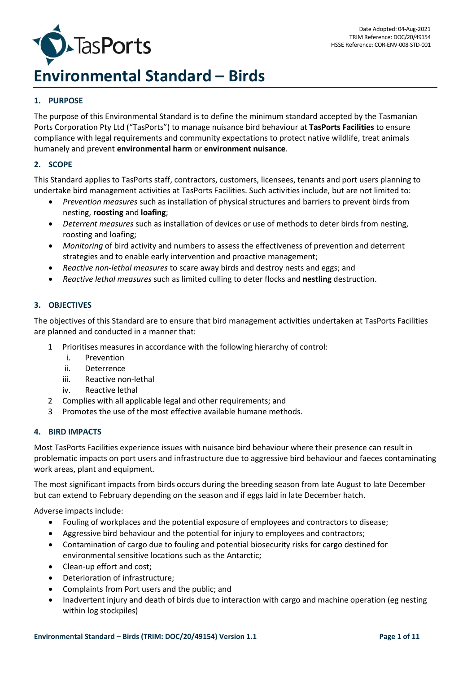

# **Environmental Standard – Birds**

# **1. PURPOSE**

The purpose of this Environmental Standard is to define the minimum standard accepted by the Tasmanian Ports Corporation Pty Ltd ("TasPorts") to manage nuisance bird behaviour at **TasPorts Facilities** to ensure compliance with legal requirements and community expectations to protect native wildlife, treat animals humanely and prevent **environmental harm** or **environment nuisance**.

## **2. SCOPE**

This Standard applies to TasPorts staff, contractors, customers, licensees, tenants and port users planning to undertake bird management activities at TasPorts Facilities. Such activities include, but are not limited to:

- *Prevention measures* such as installation of physical structures and barriers to prevent birds from nesting, **roosting** and **loafing**;
- *Deterrent measures* such as installation of devices or use of methods to deter birds from nesting, roosting and loafing;
- *Monitoring* of bird activity and numbers to assess the effectiveness of prevention and deterrent strategies and to enable early intervention and proactive management;
- *Reactive non-lethal measures* to scare away birds and destroy nests and eggs; and
- *Reactive lethal measures* such as limited culling to deter flocks and **nestling** destruction.

# **3. OBJECTIVES**

The objectives of this Standard are to ensure that bird management activities undertaken at TasPorts Facilities are planned and conducted in a manner that:

- 1 Prioritises measures in accordance with the following hierarchy of control:
	- i. Prevention
	- ii. Deterrence
	- iii. Reactive non-lethal
	- iv. Reactive lethal
- 2 Complies with all applicable legal and other requirements; and
- 3 Promotes the use of the most effective available humane methods.

## **4. BIRD IMPACTS**

Most TasPorts Facilities experience issues with nuisance bird behaviour where their presence can result in problematic impacts on port users and infrastructure due to aggressive bird behaviour and faeces contaminating work areas, plant and equipment.

The most significant impacts from birds occurs during the breeding season from late August to late December but can extend to February depending on the season and if eggs laid in late December hatch.

Adverse impacts include:

- Fouling of workplaces and the potential exposure of employees and contractors to disease;
- Aggressive bird behaviour and the potential for injury to employees and contractors;
- Contamination of cargo due to fouling and potential biosecurity risks for cargo destined for environmental sensitive locations such as the Antarctic;
- Clean-up effort and cost;
- Deterioration of infrastructure;
- Complaints from Port users and the public; and
- Inadvertent injury and death of birds due to interaction with cargo and machine operation (eg nesting within log stockpiles)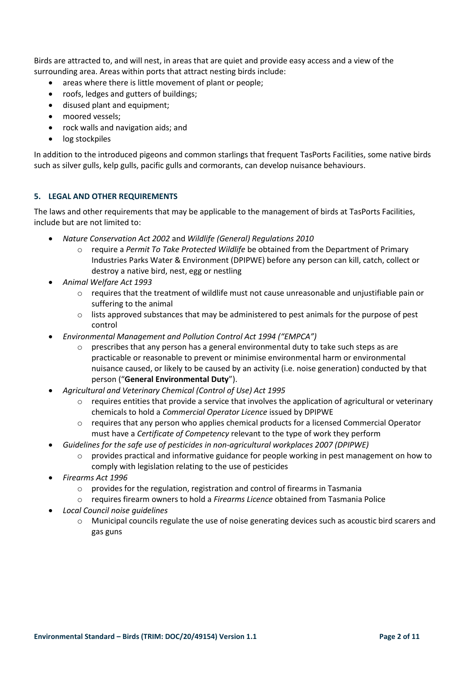Birds are attracted to, and will nest, in areas that are quiet and provide easy access and a view of the surrounding area. Areas within ports that attract nesting birds include:

- areas where there is little movement of plant or people;
- roofs, ledges and gutters of buildings;
- disused plant and equipment;
- moored vessels;
- rock walls and navigation aids; and
- log stockpiles

In addition to the introduced pigeons and common starlings that frequent TasPorts Facilities, some native birds such as silver gulls, kelp gulls, pacific gulls and cormorants, can develop nuisance behaviours.

# **5. LEGAL AND OTHER REQUIREMENTS**

The laws and other requirements that may be applicable to the management of birds at TasPorts Facilities, include but are not limited to:

- *Nature Conservation Act 2002* and *Wildlife (General) Regulations 2010*
	- o require a *Permit To Take Protected Wildlife* be obtained from the Department of Primary Industries Parks Water & Environment (DPIPWE) before any person can kill, catch, collect or destroy a native bird, nest, egg or nestling
- *Animal Welfare Act 1993*
	- o requires that the treatment of wildlife must not cause unreasonable and unjustifiable pain or suffering to the animal
	- $\circ$  lists approved substances that may be administered to pest animals for the purpose of pest control
- *Environmental Management and Pollution Control Act 1994 ("EMPCA")*
	- $\circ$  prescribes that any person has a general environmental duty to take such steps as are practicable or reasonable to prevent or minimise environmental harm or environmental nuisance caused, or likely to be caused by an activity (i.e. noise generation) conducted by that person ("**General Environmental Duty**").
- *Agricultural and Veterinary Chemical (Control of Use) Act 1995*
	- $\circ$  requires entities that provide a service that involves the application of agricultural or veterinary chemicals to hold a *Commercial Operator Licence* issued by DPIPWE
	- o requires that any person who applies chemical products for a licensed Commercial Operator must have a *Certificate of Competency* relevant to the type of work they perform
- *Guidelines for the safe use of pesticides in non-agricultural workplaces 2007 (DPIPWE)*
	- provides practical and informative guidance for people working in pest management on how to comply with legislation relating to the use of pesticides
- *Firearms Act 1996*
	- o provides for the regulation, registration and control of firearms in Tasmania
	- o requires firearm owners to hold a *Firearms Licence* obtained from Tasmania Police
- *Local Council noise guidelines*
	- o Municipal councils regulate the use of noise generating devices such as acoustic bird scarers and gas guns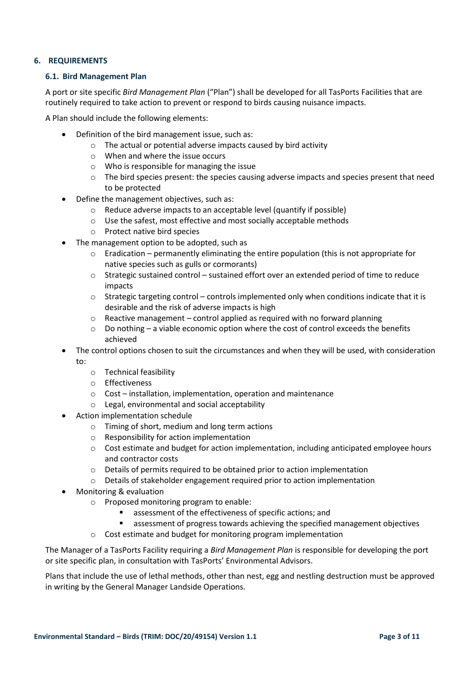## **6. REQUIREMENTS**

#### **6.1. Bird Management Plan**

A port or site specific *Bird Management Plan* ("Plan") shall be developed for all TasPorts Facilities that are routinely required to take action to prevent or respond to birds causing nuisance impacts.

A Plan should include the following elements:

- Definition of the bird management issue, such as:
	- o The actual or potential adverse impacts caused by bird activity
	- o When and where the issue occurs
	- o Who is responsible for managing the issue
	- $\circ$  The bird species present: the species causing adverse impacts and species present that need to be protected
- Define the management objectives, such as:
	- o Reduce adverse impacts to an acceptable level (quantify if possible)
	- o Use the safest, most effective and most socially acceptable methods
	- o Protect native bird species
- The management option to be adopted, such as
	- $\circ$  Eradication permanently eliminating the entire population (this is not appropriate for native species such as gulls or cormorants)
	- o Strategic sustained control sustained effort over an extended period of time to reduce impacts
	- $\circ$  Strategic targeting control controls implemented only when conditions indicate that it is desirable and the risk of adverse impacts is high
	- o Reactive management control applied as required with no forward planning
	- o Do nothing a viable economic option where the cost of control exceeds the benefits achieved
- The control options chosen to suit the circumstances and when they will be used, with consideration
	- to:
		- o Technical feasibility
		- o Effectiveness
		- o Cost installation, implementation, operation and maintenance
		- o Legal, environmental and social acceptability
- Action implementation schedule
	- o Timing of short, medium and long term actions
	- o Responsibility for action implementation
	- $\circ$  Cost estimate and budget for action implementation, including anticipated employee hours and contractor costs
	- o Details of permits required to be obtained prior to action implementation
	- $\circ$  Details of stakeholder engagement required prior to action implementation
- Monitoring & evaluation
	- o Proposed monitoring program to enable:
		- assessment of the effectiveness of specific actions: and
		- assessment of progress towards achieving the specified management objectives
	- o Cost estimate and budget for monitoring program implementation

The Manager of a TasPorts Facility requiring a *Bird Management Plan* is responsible for developing the port or site specific plan, in consultation with TasPorts' Environmental Advisors.

Plans that include the use of lethal methods, other than nest, egg and nestling destruction must be approved in writing by the General Manager Landside Operations.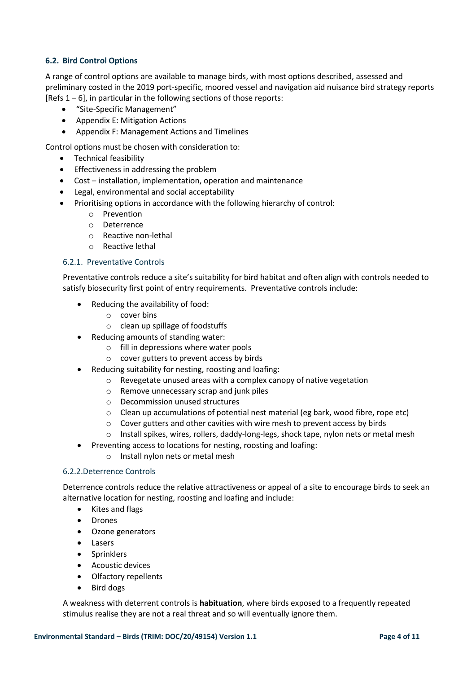# **6.2. Bird Control Options**

A range of control options are available to manage birds, with most options described, assessed and preliminary costed in the 2019 port-specific, moored vessel and navigation aid nuisance bird strategy reports [Refs  $1 - 6$ ], in particular in the following sections of those reports:

- "Site-Specific Management"
- Appendix E: Mitigation Actions
- Appendix F: Management Actions and Timelines

Control options must be chosen with consideration to:

- Technical feasibility
- Effectiveness in addressing the problem
- Cost installation, implementation, operation and maintenance
- Legal, environmental and social acceptability
- Prioritising options in accordance with the following hierarchy of control:
	- o Prevention
	- o Deterrence
	- o Reactive non-lethal
	- o Reactive lethal

## 6.2.1. Preventative Controls

Preventative controls reduce a site's suitability for bird habitat and often align with controls needed to satisfy biosecurity first point of entry requirements. Preventative controls include:

- Reducing the availability of food:
	- o cover bins
	- o clean up spillage of foodstuffs
- Reducing amounts of standing water:
	- o fill in depressions where water pools
	- o cover gutters to prevent access by birds
- Reducing suitability for nesting, roosting and loafing:
	- o Revegetate unused areas with a complex canopy of native vegetation
	- o Remove unnecessary scrap and junk piles
	- o Decommission unused structures
	- $\circ$  Clean up accumulations of potential nest material (eg bark, wood fibre, rope etc)
	- o Cover gutters and other cavities with wire mesh to prevent access by birds
	- o Install spikes, wires, rollers, daddy-long-legs, shock tape, nylon nets or metal mesh
- Preventing access to locations for nesting, roosting and loafing:
	- o Install nylon nets or metal mesh

## 6.2.2.Deterrence Controls

Deterrence controls reduce the relative attractiveness or appeal of a site to encourage birds to seek an alternative location for nesting, roosting and loafing and include:

- Kites and flags
- Drones
- Ozone generators
- Lasers
- Sprinklers
- Acoustic devices
- Olfactory repellents
- Bird dogs

A weakness with deterrent controls is **habituation**, where birds exposed to a frequently repeated stimulus realise they are not a real threat and so will eventually ignore them.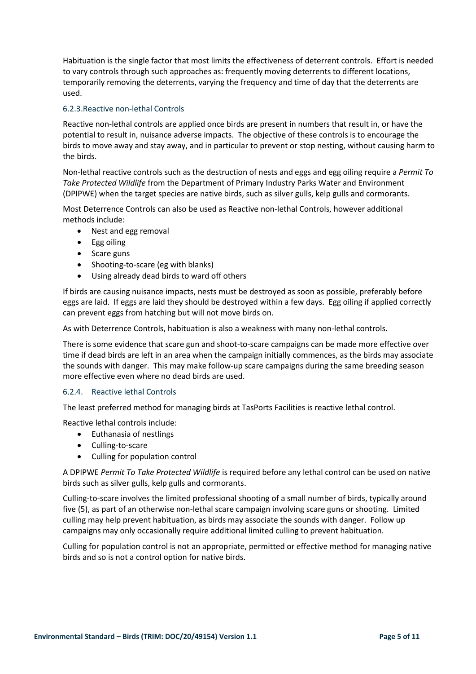Habituation is the single factor that most limits the effectiveness of deterrent controls. Effort is needed to vary controls through such approaches as: frequently moving deterrents to different locations, temporarily removing the deterrents, varying the frequency and time of day that the deterrents are used.

## 6.2.3.Reactive non-lethal Controls

Reactive non-lethal controls are applied once birds are present in numbers that result in, or have the potential to result in, nuisance adverse impacts. The objective of these controls is to encourage the birds to move away and stay away, and in particular to prevent or stop nesting, without causing harm to the birds.

Non-lethal reactive controls such as the destruction of nests and eggs and egg oiling require a *Permit To Take Protected Wildlife* from the Department of Primary Industry Parks Water and Environment (DPIPWE) when the target species are native birds, such as silver gulls, kelp gulls and cormorants.

Most Deterrence Controls can also be used as Reactive non-lethal Controls, however additional methods include:

- Nest and egg removal
- Egg oiling
- Scare guns
- Shooting-to-scare (eg with blanks)
- Using already dead birds to ward off others

If birds are causing nuisance impacts, nests must be destroyed as soon as possible, preferably before eggs are laid. If eggs are laid they should be destroyed within a few days. Egg oiling if applied correctly can prevent eggs from hatching but will not move birds on.

As with Deterrence Controls, habituation is also a weakness with many non-lethal controls.

There is some evidence that scare gun and shoot-to-scare campaigns can be made more effective over time if dead birds are left in an area when the campaign initially commences, as the birds may associate the sounds with danger. This may make follow-up scare campaigns during the same breeding season more effective even where no dead birds are used.

## 6.2.4. Reactive lethal Controls

The least preferred method for managing birds at TasPorts Facilities is reactive lethal control.

Reactive lethal controls include:

- Euthanasia of nestlings
- Culling-to-scare
- Culling for population control

A DPIPWE *Permit To Take Protected Wildlife* is required before any lethal control can be used on native birds such as silver gulls, kelp gulls and cormorants.

Culling-to-scare involves the limited professional shooting of a small number of birds, typically around five (5), as part of an otherwise non-lethal scare campaign involving scare guns or shooting. Limited culling may help prevent habituation, as birds may associate the sounds with danger. Follow up campaigns may only occasionally require additional limited culling to prevent habituation.

Culling for population control is not an appropriate, permitted or effective method for managing native birds and so is not a control option for native birds.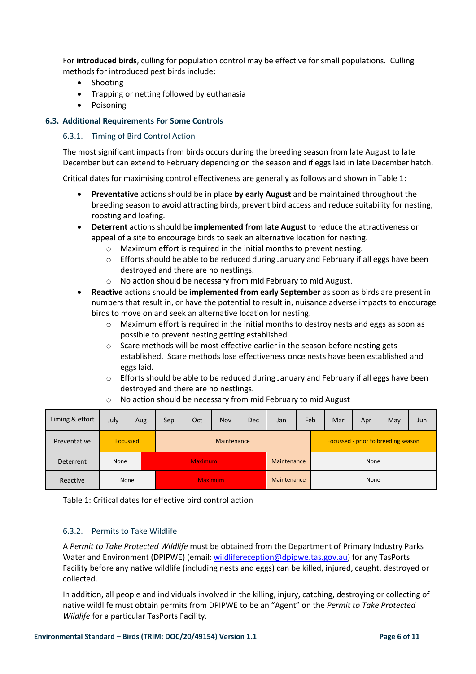For **introduced birds**, culling for population control may be effective for small populations. Culling methods for introduced pest birds include:

- Shooting
- Trapping or netting followed by euthanasia
- Poisoning

## **6.3. Additional Requirements For Some Controls**

## 6.3.1. Timing of Bird Control Action

The most significant impacts from birds occurs during the breeding season from late August to late December but can extend to February depending on the season and if eggs laid in late December hatch.

Critical dates for maximising control effectiveness are generally as follows and shown in Table 1:

- **Preventative** actions should be in place **by early August** and be maintained throughout the breeding season to avoid attracting birds, prevent bird access and reduce suitability for nesting, roosting and loafing.
- **Deterrent** actions should be **implemented from late August** to reduce the attractiveness or appeal of a site to encourage birds to seek an alternative location for nesting.
	- o Maximum effort is required in the initial months to prevent nesting.
	- o Efforts should be able to be reduced during January and February if all eggs have been destroyed and there are no nestlings.
	- o No action should be necessary from mid February to mid August.
- **Reactive** actions should be **implemented from early September** as soon as birds are present in numbers that result in, or have the potential to result in, nuisance adverse impacts to encourage birds to move on and seek an alternative location for nesting.
	- o Maximum effort is required in the initial months to destroy nests and eggs as soon as possible to prevent nesting getting established.
	- $\circ$  Scare methods will be most effective earlier in the season before nesting gets established. Scare methods lose effectiveness once nests have been established and eggs laid.
	- $\circ$  Efforts should be able to be reduced during January and February if all eggs have been destroyed and there are no nestlings.

| Timing & effort | July | Aug      | Sep            | Oct | Nov | Dec | Jan         | Feb |                                     | Mar | Apr | May | Jun |
|-----------------|------|----------|----------------|-----|-----|-----|-------------|-----|-------------------------------------|-----|-----|-----|-----|
| Preventative    |      | Focussed | Maintenance    |     |     |     |             |     | Focussed - prior to breeding season |     |     |     |     |
| Deterrent       | None |          | <b>Maximum</b> |     |     |     | Maintenance |     | None                                |     |     |     |     |
| Reactive        | None |          | <b>Maximum</b> |     |     |     | Maintenance |     | None                                |     |     |     |     |

o No action should be necessary from mid February to mid August

Table 1: Critical dates for effective bird control action

# 6.3.2. Permits to Take Wildlife

A *Permit to Take Protected Wildlife* must be obtained from the Department of Primary Industry Parks Water and Environment (DPIPWE) (email: [wildlifereception@dpipwe.tas.gov.au\)](mailto:wildlifereception@dpipwe.tas.gov.au) for any TasPorts Facility before any native wildlife (including nests and eggs) can be killed, injured, caught, destroyed or collected.

In addition, all people and individuals involved in the killing, injury, catching, destroying or collecting of native wildlife must obtain permits from DPIPWE to be an "Agent" on the *Permit to Take Protected Wildlife* for a particular TasPorts Facility.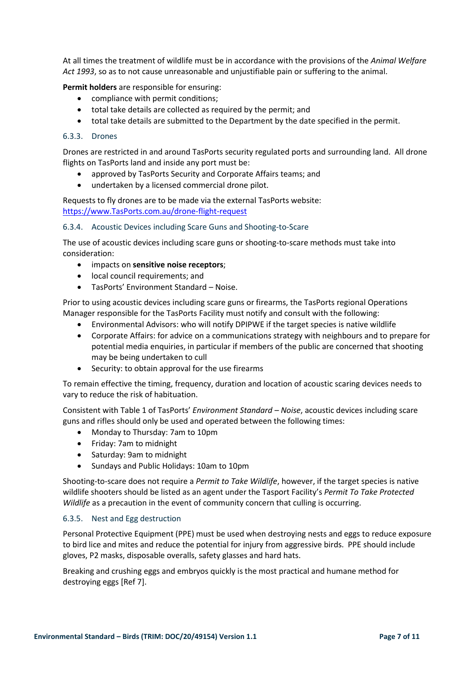At all times the treatment of wildlife must be in accordance with the provisions of the *Animal Welfare Act 1993*, so as to not cause unreasonable and unjustifiable pain or suffering to the animal.

**Permit holders** are responsible for ensuring:

- compliance with permit conditions;
- total take details are collected as required by the permit; and
- total take details are submitted to the Department by the date specified in the permit.

## 6.3.3. Drones

Drones are restricted in and around TasPorts security regulated ports and surrounding land. All drone flights on TasPorts land and inside any port must be:

- approved by TasPorts Security and Corporate Affairs teams; and
- undertaken by a licensed commercial drone pilot.

Requests to fly drones are to be made via the external TasPorts website: [https://www.TasPorts.com.au/drone-flight-request](https://www.tasports.com.au/drone-flight-request)

#### 6.3.4. Acoustic Devices including Scare Guns and Shooting-to-Scare

The use of acoustic devices including scare guns or shooting-to-scare methods must take into consideration:

- impacts on **sensitive noise receptors**;
- local council requirements; and
- TasPorts' Environment Standard Noise.

Prior to using acoustic devices including scare guns or firearms, the TasPorts regional Operations Manager responsible for the TasPorts Facility must notify and consult with the following:

- Environmental Advisors: who will notify DPIPWE if the target species is native wildlife
- Corporate Affairs: for advice on a communications strategy with neighbours and to prepare for potential media enquiries, in particular if members of the public are concerned that shooting may be being undertaken to cull
- Security: to obtain approval for the use firearms

To remain effective the timing, frequency, duration and location of acoustic scaring devices needs to vary to reduce the risk of habituation.

Consistent with Table 1 of TasPorts' *Environment Standard – Noise*, acoustic devices including scare guns and rifles should only be used and operated between the following times:

- Monday to Thursday: 7am to 10pm
- Friday: 7am to midnight
- Saturday: 9am to midnight
- Sundays and Public Holidays: 10am to 10pm

Shooting-to-scare does not require a *Permit to Take Wildlife*, however, if the target species is native wildlife shooters should be listed as an agent under the Tasport Facility's *Permit To Take Protected Wildlife* as a precaution in the event of community concern that culling is occurring.

## 6.3.5. Nest and Egg destruction

Personal Protective Equipment (PPE) must be used when destroying nests and eggs to reduce exposure to bird lice and mites and reduce the potential for injury from aggressive birds. PPE should include gloves, P2 masks, disposable overalls, safety glasses and hard hats.

Breaking and crushing eggs and embryos quickly is the most practical and humane method for destroying eggs [Ref 7].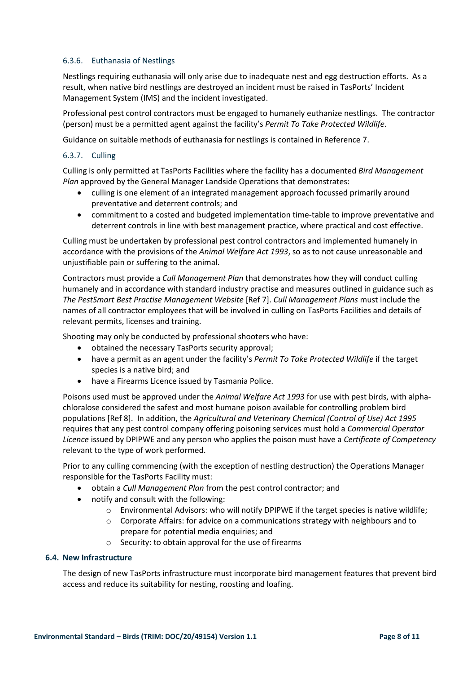# 6.3.6. Euthanasia of Nestlings

Nestlings requiring euthanasia will only arise due to inadequate nest and egg destruction efforts. As a result, when native bird nestlings are destroyed an incident must be raised in TasPorts' Incident Management System (IMS) and the incident investigated.

Professional pest control contractors must be engaged to humanely euthanize nestlings. The contractor (person) must be a permitted agent against the facility's *Permit To Take Protected Wildlife*.

Guidance on suitable methods of euthanasia for nestlings is contained in Reference 7.

## 6.3.7. Culling

Culling is only permitted at TasPorts Facilities where the facility has a documented *Bird Management Plan* approved by the General Manager Landside Operations that demonstrates:

- culling is one element of an integrated management approach focussed primarily around preventative and deterrent controls; and
- commitment to a costed and budgeted implementation time-table to improve preventative and deterrent controls in line with best management practice, where practical and cost effective.

Culling must be undertaken by professional pest control contractors and implemented humanely in accordance with the provisions of the *Animal Welfare Act 1993*, so as to not cause unreasonable and unjustifiable pain or suffering to the animal.

Contractors must provide a *Cull Management Plan* that demonstrates how they will conduct culling humanely and in accordance with standard industry practise and measures outlined in guidance such as *The PestSmart Best Practise Management Website* [Ref 7]. *Cull Management Plans* must include the names of all contractor employees that will be involved in culling on TasPorts Facilities and details of relevant permits, licenses and training.

Shooting may only be conducted by professional shooters who have:

- obtained the necessary TasPorts security approval;
- have a permit as an agent under the facility's *Permit To Take Protected Wildlife* if the target species is a native bird; and
- have a Firearms Licence issued by Tasmania Police.

Poisons used must be approved under the *Animal Welfare Act 1993* for use with pest birds, with alphachloralose considered the safest and most humane poison available for controlling problem bird populations [Ref 8]. In addition, the *Agricultural and Veterinary Chemical (Control of Use) Act 1995* requires that any pest control company offering poisoning services must hold a *Commercial Operator Licence* issued by DPIPWE and any person who applies the poison must have a *Certificate of Competency* relevant to the type of work performed.

Prior to any culling commencing (with the exception of nestling destruction) the Operations Manager responsible for the TasPorts Facility must:

- obtain a *Cull Management Plan* from the pest control contractor; and
- notify and consult with the following:
	- o Environmental Advisors: who will notify DPIPWE if the target species is native wildlife;
	- $\circ$  Corporate Affairs: for advice on a communications strategy with neighbours and to prepare for potential media enquiries; and
	- o Security: to obtain approval for the use of firearms

## **6.4. New Infrastructure**

The design of new TasPorts infrastructure must incorporate bird management features that prevent bird access and reduce its suitability for nesting, roosting and loafing.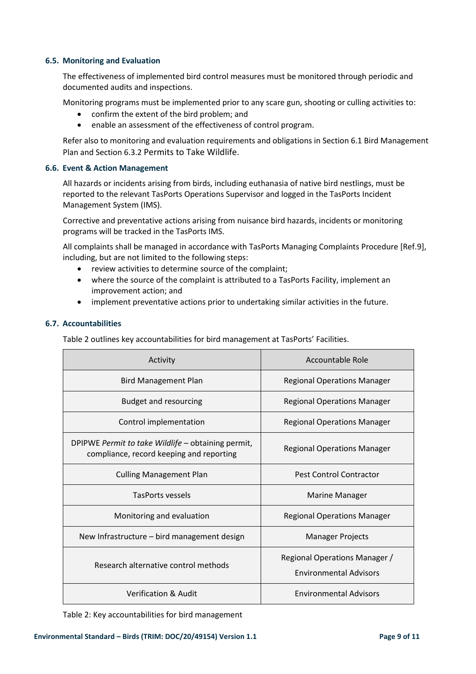#### **6.5. Monitoring and Evaluation**

The effectiveness of implemented bird control measures must be monitored through periodic and documented audits and inspections.

Monitoring programs must be implemented prior to any scare gun, shooting or culling activities to:

- confirm the extent of the bird problem; and
- enable an assessment of the effectiveness of control program.

Refer also to monitoring and evaluation requirements and obligations in Section 6.1 Bird Management Plan and Section 6.3.2 Permits to Take Wildlife.

#### **6.6. Event & Action Management**

All hazards or incidents arising from birds, including euthanasia of native bird nestlings, must be reported to the relevant TasPorts Operations Supervisor and logged in the TasPorts Incident Management System (IMS).

Corrective and preventative actions arising from nuisance bird hazards, incidents or monitoring programs will be tracked in the TasPorts IMS.

All complaints shall be managed in accordance with TasPorts Managing Complaints Procedure [Ref.9], including, but are not limited to the following steps:

- review activities to determine source of the complaint;
- where the source of the complaint is attributed to a TasPorts Facility, implement an improvement action; and
- implement preventative actions prior to undertaking similar activities in the future.

#### **6.7. Accountabilities**

Table 2 outlines key accountabilities for bird management at TasPorts' Facilities.

| Activity                                                                                       | Accountable Role                                               |  |  |  |  |
|------------------------------------------------------------------------------------------------|----------------------------------------------------------------|--|--|--|--|
| <b>Bird Management Plan</b>                                                                    | <b>Regional Operations Manager</b>                             |  |  |  |  |
| <b>Budget and resourcing</b>                                                                   | <b>Regional Operations Manager</b>                             |  |  |  |  |
| Control implementation                                                                         | <b>Regional Operations Manager</b>                             |  |  |  |  |
| DPIPWE Permit to take Wildlife - obtaining permit,<br>compliance, record keeping and reporting | <b>Regional Operations Manager</b>                             |  |  |  |  |
| <b>Culling Management Plan</b>                                                                 | Pest Control Contractor                                        |  |  |  |  |
| TasPorts vessels                                                                               | <b>Marine Manager</b>                                          |  |  |  |  |
| Monitoring and evaluation                                                                      | <b>Regional Operations Manager</b>                             |  |  |  |  |
| New Infrastructure – bird management design                                                    | <b>Manager Projects</b>                                        |  |  |  |  |
| Research alternative control methods                                                           | Regional Operations Manager /<br><b>Environmental Advisors</b> |  |  |  |  |
| <b>Verification &amp; Audit</b>                                                                | <b>Environmental Advisors</b>                                  |  |  |  |  |

Table 2: Key accountabilities for bird management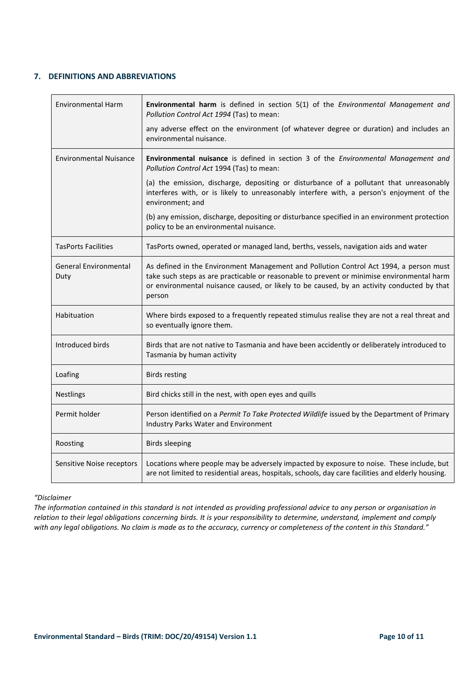## **7. DEFINITIONS AND ABBREVIATIONS**

| <b>Environmental Harm</b>            | Environmental harm is defined in section 5(1) of the Environmental Management and<br>Pollution Control Act 1994 (Tas) to mean:                                                                                                                                                               |
|--------------------------------------|----------------------------------------------------------------------------------------------------------------------------------------------------------------------------------------------------------------------------------------------------------------------------------------------|
|                                      | any adverse effect on the environment (of whatever degree or duration) and includes an<br>environmental nuisance.                                                                                                                                                                            |
| <b>Environmental Nuisance</b>        | Environmental nuisance is defined in section 3 of the Environmental Management and<br>Pollution Control Act 1994 (Tas) to mean:                                                                                                                                                              |
|                                      | (a) the emission, discharge, depositing or disturbance of a pollutant that unreasonably<br>interferes with, or is likely to unreasonably interfere with, a person's enjoyment of the<br>environment; and                                                                                     |
|                                      | (b) any emission, discharge, depositing or disturbance specified in an environment protection<br>policy to be an environmental nuisance.                                                                                                                                                     |
| <b>TasPorts Facilities</b>           | TasPorts owned, operated or managed land, berths, vessels, navigation aids and water                                                                                                                                                                                                         |
| <b>General Environmental</b><br>Duty | As defined in the Environment Management and Pollution Control Act 1994, a person must<br>take such steps as are practicable or reasonable to prevent or minimise environmental harm<br>or environmental nuisance caused, or likely to be caused, by an activity conducted by that<br>person |
| Habituation                          | Where birds exposed to a frequently repeated stimulus realise they are not a real threat and<br>so eventually ignore them.                                                                                                                                                                   |
| Introduced birds                     | Birds that are not native to Tasmania and have been accidently or deliberately introduced to<br>Tasmania by human activity                                                                                                                                                                   |
| Loafing                              | <b>Birds resting</b>                                                                                                                                                                                                                                                                         |
| <b>Nestlings</b>                     | Bird chicks still in the nest, with open eyes and quills                                                                                                                                                                                                                                     |
| Permit holder                        | Person identified on a Permit To Take Protected Wildlife issued by the Department of Primary<br><b>Industry Parks Water and Environment</b>                                                                                                                                                  |
| Roosting                             | <b>Birds sleeping</b>                                                                                                                                                                                                                                                                        |
| Sensitive Noise receptors            | Locations where people may be adversely impacted by exposure to noise. These include, but<br>are not limited to residential areas, hospitals, schools, day care facilities and elderly housing.                                                                                              |

# *"Disclaimer*

*The information contained in this standard is not intended as providing professional advice to any person or organisation in relation to their legal obligations concerning birds. It is your responsibility to determine, understand, implement and comply*  with any legal obligations. No claim is made as to the accuracy, currency or completeness of the content in this Standard."